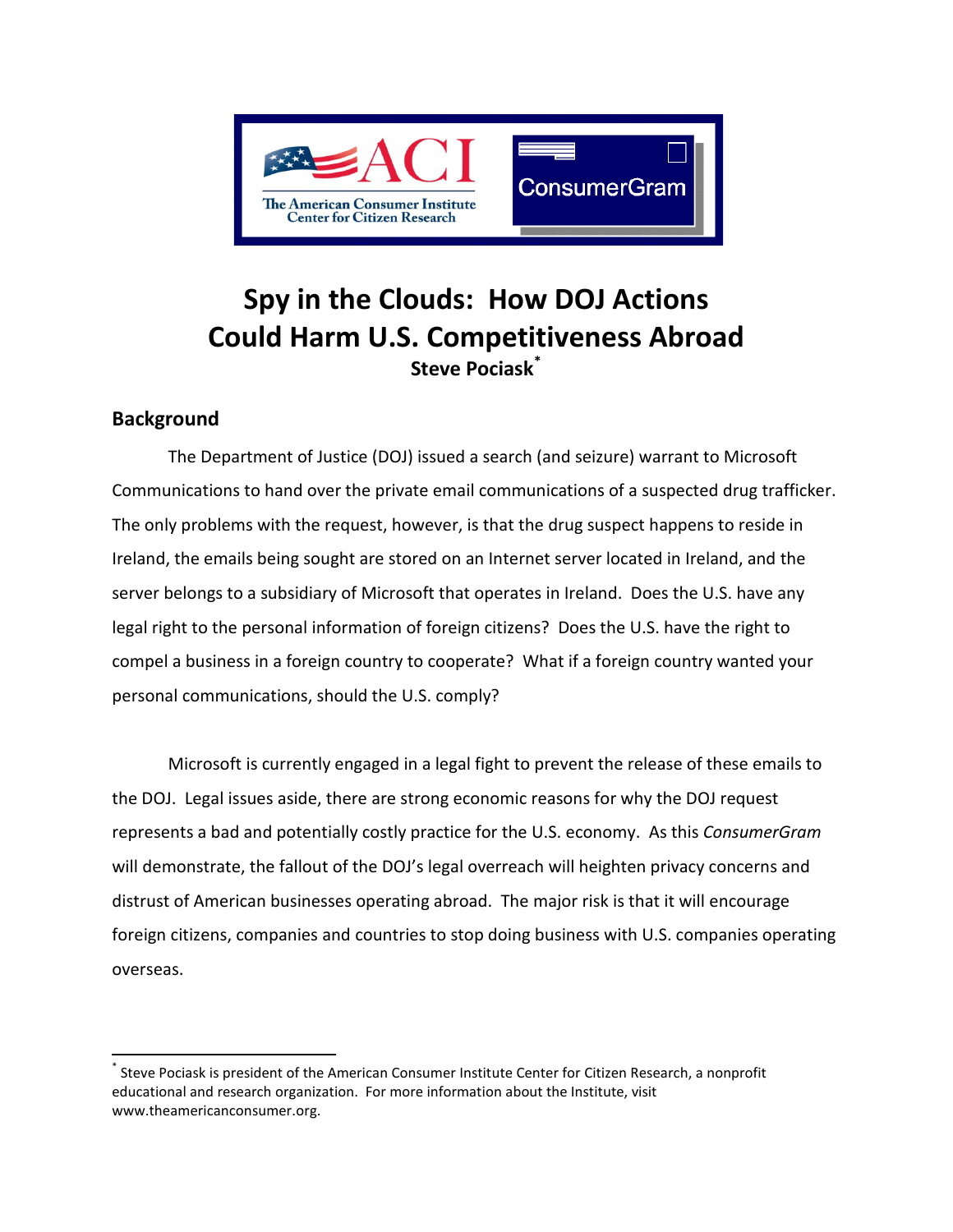

# **Spy in the Clouds: How DOJ Actions Could Harm U.S. Competitiveness Abroad Steve Pociask[\\*](#page-0-0)**

# **Background**

The Department of Justice (DOJ) issued a search (and seizure) warrant to Microsoft Communications to hand over the private email communications of a suspected drug trafficker. The only problems with the request, however, is that the drug suspect happens to reside in Ireland, the emails being sought are stored on an Internet server located in Ireland, and the server belongs to a subsidiary of Microsoft that operates in Ireland. Does the U.S. have any legal right to the personal information of foreign citizens? Does the U.S. have the right to compel a business in a foreign country to cooperate? What if a foreign country wanted your personal communications, should the U.S. comply?

Microsoft is currently engaged in a legal fight to prevent the release of these emails to the DOJ. Legal issues aside, there are strong economic reasons for why the DOJ request represents a bad and potentially costly practice for the U.S. economy. As this *ConsumerGram* will demonstrate, the fallout of the DOJ's legal overreach will heighten privacy concerns and distrust of American businesses operating abroad. The major risk is that it will encourage foreign citizens, companies and countries to stop doing business with U.S. companies operating overseas.

<span id="page-0-0"></span>Steve Pociask is president of the American Consumer Institute Center for Citizen Research, a nonprofit educational and research organization. For more information about the Institute, visit [www.theamericanconsumer.org.](http://www.theamericanconsumer.org/)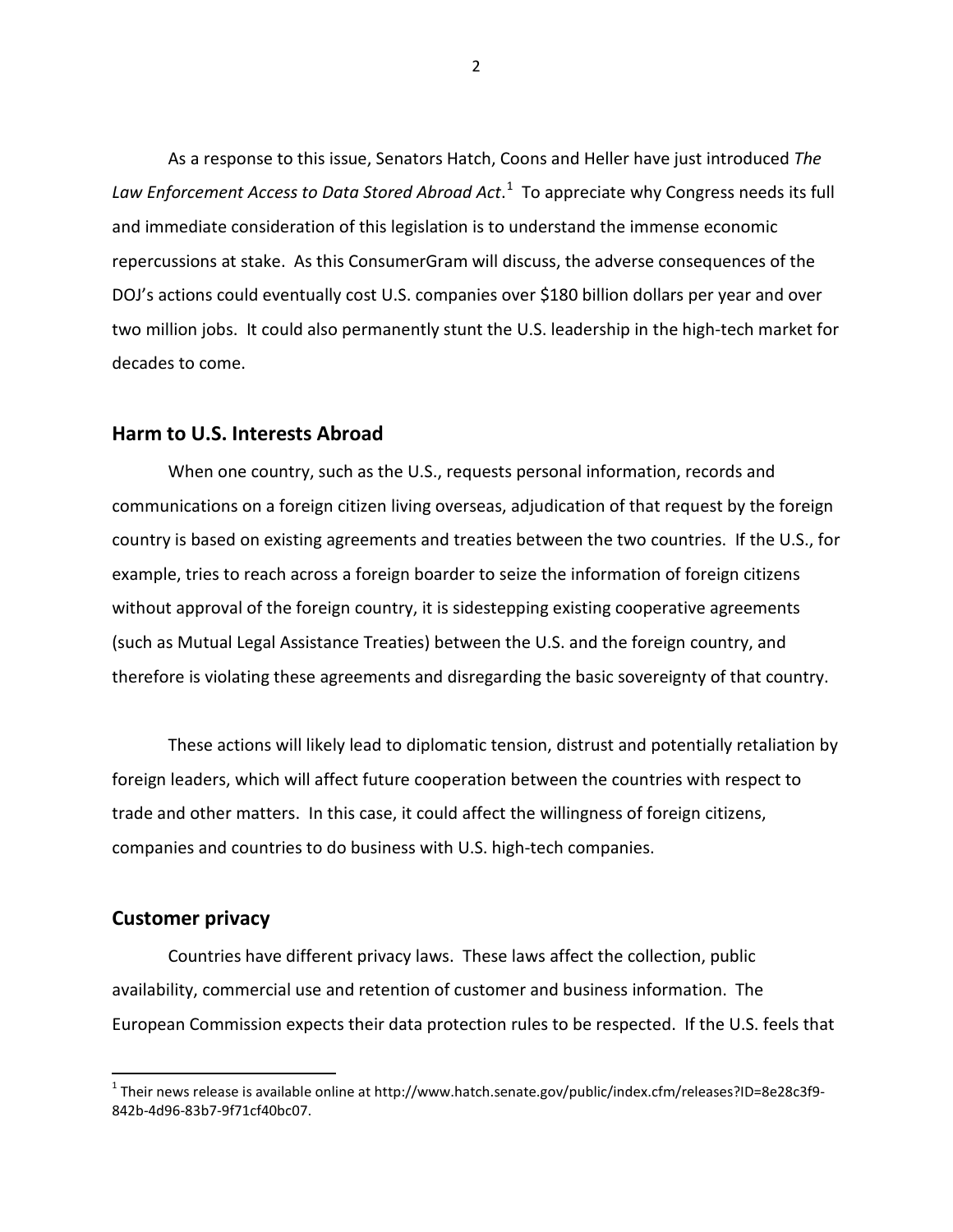As a response to this issue, Senators Hatch, Coons and Heller have just introduced *The*  Law Enforcement Access to Data Stored Abroad Act.<sup>[1](#page-1-0)</sup> To appreciate why Congress needs its full and immediate consideration of this legislation is to understand the immense economic repercussions at stake. As this ConsumerGram will discuss, the adverse consequences of the DOJ's actions could eventually cost U.S. companies over \$180 billion dollars per year and over two million jobs. It could also permanently stunt the U.S. leadership in the high-tech market for decades to come.

## **Harm to U.S. Interests Abroad**

When one country, such as the U.S., requests personal information, records and communications on a foreign citizen living overseas, adjudication of that request by the foreign country is based on existing agreements and treaties between the two countries. If the U.S., for example, tries to reach across a foreign boarder to seize the information of foreign citizens without approval of the foreign country, it is sidestepping existing cooperative agreements (such as Mutual Legal Assistance Treaties) between the U.S. and the foreign country, and therefore is violating these agreements and disregarding the basic sovereignty of that country.

These actions will likely lead to diplomatic tension, distrust and potentially retaliation by foreign leaders, which will affect future cooperation between the countries with respect to trade and other matters. In this case, it could affect the willingness of foreign citizens, companies and countries to do business with U.S. high-tech companies.

#### **Customer privacy**

Countries have different privacy laws. These laws affect the collection, public availability, commercial use and retention of customer and business information. The European Commission expects their data protection rules to be respected. If the U.S. feels that

<span id="page-1-0"></span> $1$  Their news release is available online a[t http://www.hatch.senate.gov/public/index.cfm/releases?ID=8e28c3f9-](http://www.hatch.senate.gov/public/index.cfm/releases?ID=8e28c3f9-842b-4d96-83b7-9f71cf40bc07) [842b-4d96-83b7-9f71cf40bc07.](http://www.hatch.senate.gov/public/index.cfm/releases?ID=8e28c3f9-842b-4d96-83b7-9f71cf40bc07)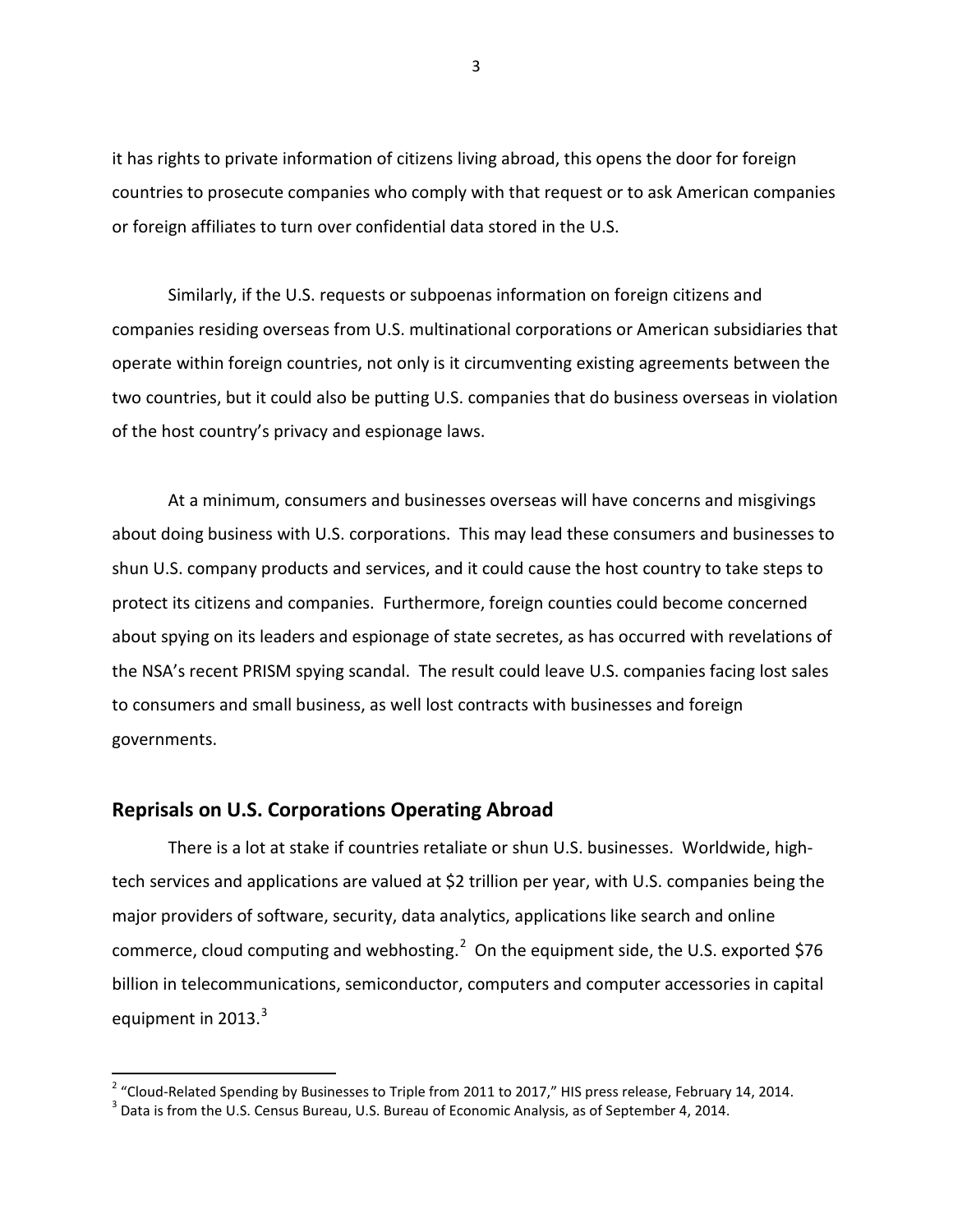it has rights to private information of citizens living abroad, this opens the door for foreign countries to prosecute companies who comply with that request or to ask American companies or foreign affiliates to turn over confidential data stored in the U.S.

Similarly, if the U.S. requests or subpoenas information on foreign citizens and companies residing overseas from U.S. multinational corporations or American subsidiaries that operate within foreign countries, not only is it circumventing existing agreements between the two countries, but it could also be putting U.S. companies that do business overseas in violation of the host country's privacy and espionage laws.

At a minimum, consumers and businesses overseas will have concerns and misgivings about doing business with U.S. corporations. This may lead these consumers and businesses to shun U.S. company products and services, and it could cause the host country to take steps to protect its citizens and companies. Furthermore, foreign counties could become concerned about spying on its leaders and espionage of state secretes, as has occurred with revelations of the NSA's recent PRISM spying scandal. The result could leave U.S. companies facing lost sales to consumers and small business, as well lost contracts with businesses and foreign governments.

## **Reprisals on U.S. Corporations Operating Abroad**

There is a lot at stake if countries retaliate or shun U.S. businesses. Worldwide, hightech services and applications are valued at \$2 trillion per year, with U.S. companies being the major providers of software, security, data analytics, applications like search and online commerce, cloud computing and webhosting.<sup>[2](#page-2-0)</sup> On the equipment side, the U.S. exported \$76 billion in telecommunications, semiconductor, computers and computer accessories in capital equipment in 201[3](#page-2-1). $^3$ 

<span id="page-2-1"></span><span id="page-2-0"></span><sup>&</sup>lt;sup>2</sup> "Cloud-Related Spending by Businesses to Triple from 2011 to 2017," HIS press release, February 14, 2014.<br><sup>3</sup> Data is from the U.S. Census Bureau, U.S. Bureau of Economic Analysis, as of September 4, 2014.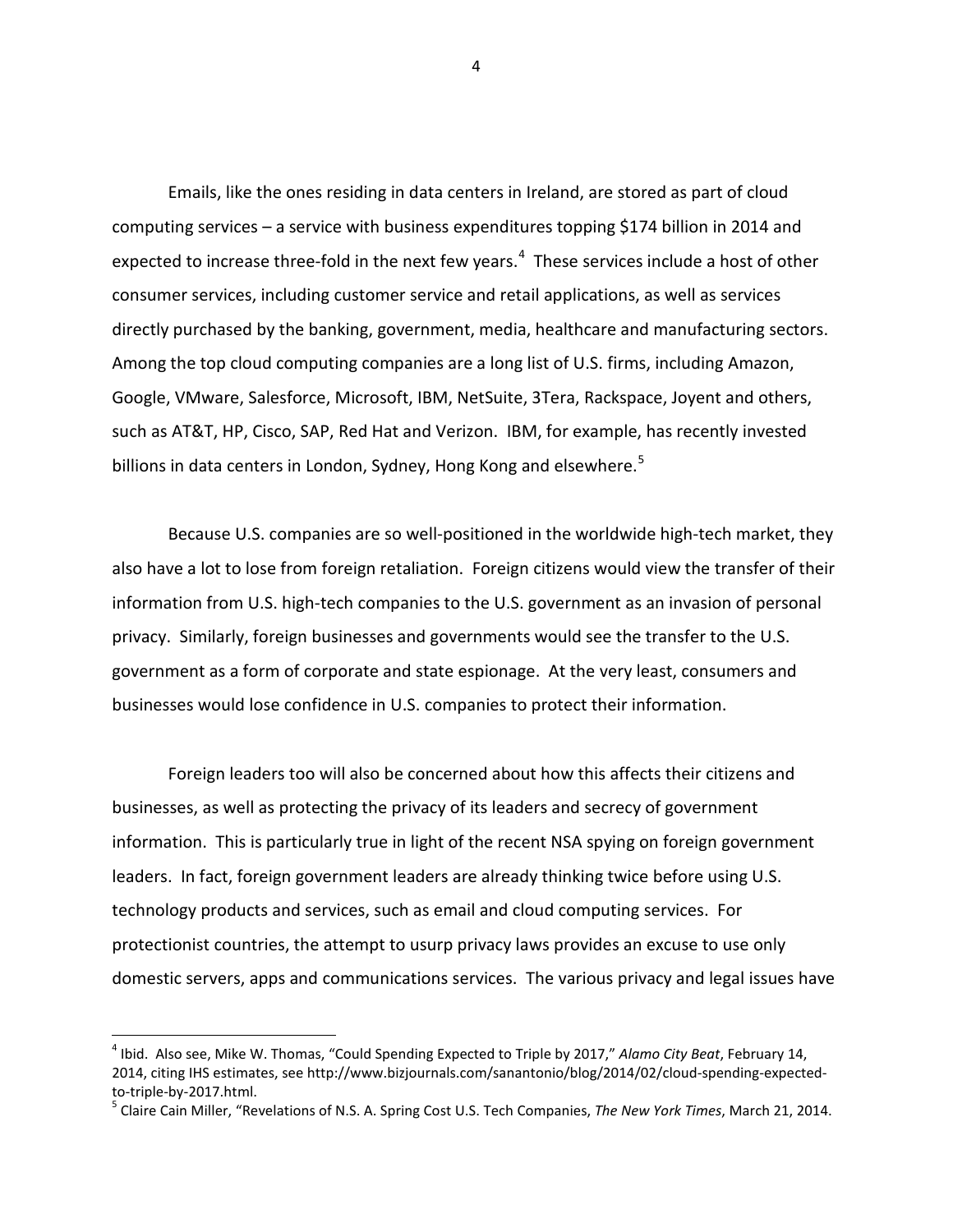Emails, like the ones residing in data centers in Ireland, are stored as part of cloud computing services – a service with business expenditures topping \$174 billion in 2014 and expected to increase three-fold in the next few years.<sup>[4](#page-3-0)</sup> These services include a host of other consumer services, including customer service and retail applications, as well as services directly purchased by the banking, government, media, healthcare and manufacturing sectors. Among the top cloud computing companies are a long list of U.S. firms, including Amazon, Google, VMware, Salesforce, Microsoft, IBM, NetSuite, 3Tera, Rackspace, Joyent and others, such as AT&T, HP, Cisco, SAP, Red Hat and Verizon. IBM, for example, has recently invested billions in data centers in London, Sydney, Hong Kong and elsewhere.<sup>[5](#page-3-1)</sup>

Because U.S. companies are so well-positioned in the worldwide high-tech market, they also have a lot to lose from foreign retaliation. Foreign citizens would view the transfer of their information from U.S. high-tech companies to the U.S. government as an invasion of personal privacy. Similarly, foreign businesses and governments would see the transfer to the U.S. government as a form of corporate and state espionage. At the very least, consumers and businesses would lose confidence in U.S. companies to protect their information.

Foreign leaders too will also be concerned about how this affects their citizens and businesses, as well as protecting the privacy of its leaders and secrecy of government information. This is particularly true in light of the recent NSA spying on foreign government leaders. In fact, foreign government leaders are already thinking twice before using U.S. technology products and services, such as email and cloud computing services. For protectionist countries, the attempt to usurp privacy laws provides an excuse to use only domestic servers, apps and communications services. The various privacy and legal issues have

<span id="page-3-0"></span> <sup>4</sup> Ibid. Also see, Mike W. Thomas, "Could Spending Expected to Triple by 2017," *Alamo City Beat*, February 14, 2014, citing IHS estimates, se[e http://www.bizjournals.com/sanantonio/blog/2014/02/cloud-spending-expected](http://www.bizjournals.com/sanantonio/blog/2014/02/cloud-spending-expected-to-triple-by-2017.html)[to-triple-by-2017.html.](http://www.bizjournals.com/sanantonio/blog/2014/02/cloud-spending-expected-to-triple-by-2017.html)<br><sup>[5](http://www.bizjournals.com/sanantonio/blog/2014/02/cloud-spending-expected-to-triple-by-2017.html)</sup> Claire Cain Miller, "Revelations of N.S. A. Spring Cost U.S. Tech Companies, *The New York Times*, March 21, 2014.

<span id="page-3-1"></span>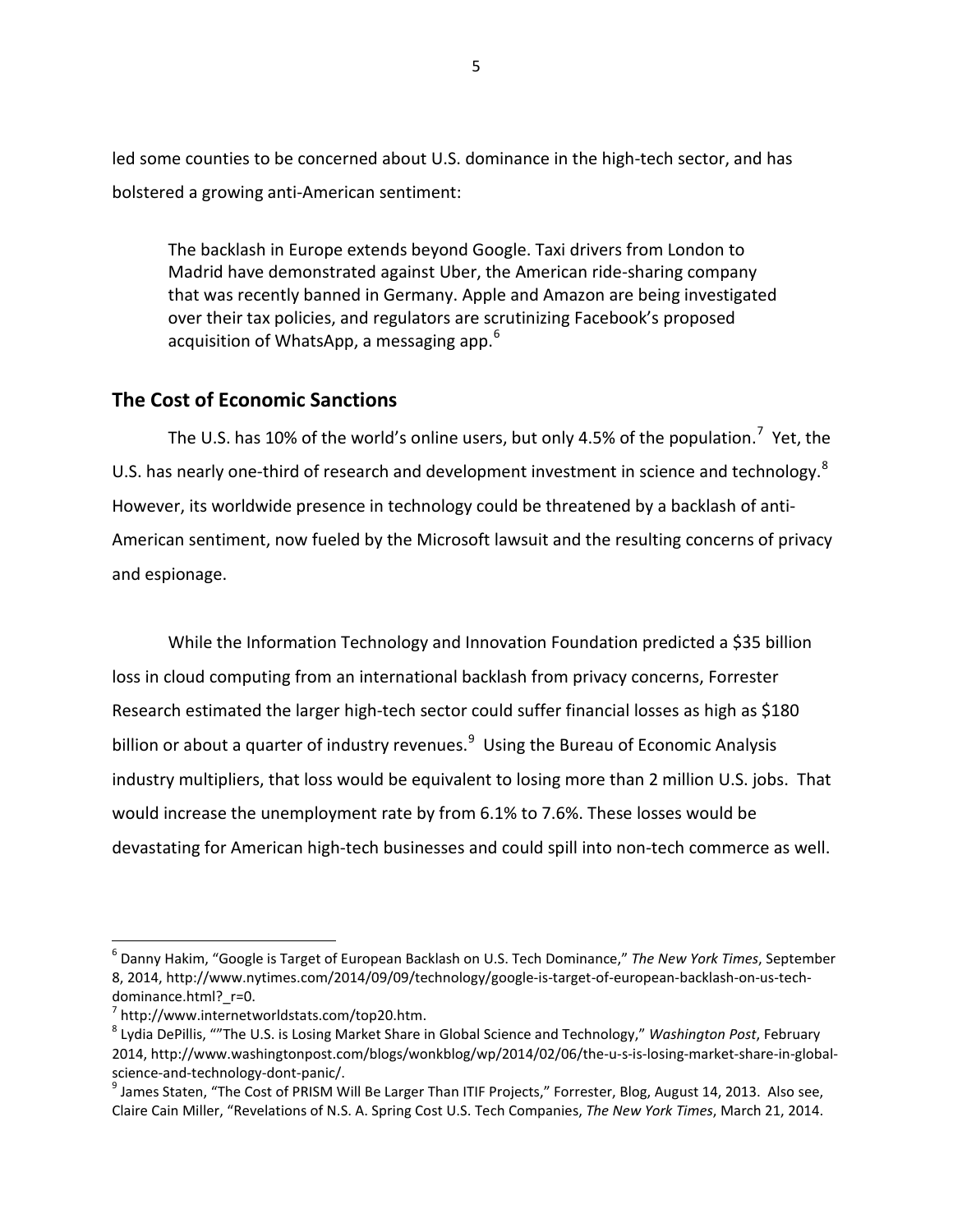led some counties to be concerned about U.S. dominance in the high-tech sector, and has bolstered a growing anti-American sentiment:

The backlash in Europe extends beyond Google. Taxi drivers from London to Madrid have demonstrated against Uber, the American ride-sharing company that was recently banned in Germany. Apple and Amazon are being investigated over their tax policies, and regulators are scrutinizing Facebook's proposed acquisition of WhatsApp, a messaging app.  $6\overline{6}$  $6\overline{6}$ 

# **The Cost of Economic Sanctions**

The U.S. has 10% of the world's online users, but only 4.5% of the population.<sup>[7](#page-4-1)</sup> Yet, the U.S. has nearly one-third of research and development investment in science and technology.<sup>[8](#page-4-2)</sup> However, its worldwide presence in technology could be threatened by a backlash of anti-American sentiment, now fueled by the Microsoft lawsuit and the resulting concerns of privacy and espionage.

While the Information Technology and Innovation Foundation predicted a \$35 billion loss in cloud computing from an international backlash from privacy concerns, Forrester Research estimated the larger high-tech sector could suffer financial losses as high as \$180 billion or about a quarter of industry revenues.<sup>[9](#page-4-3)</sup> Using the Bureau of Economic Analysis industry multipliers, that loss would be equivalent to losing more than 2 million U.S. jobs. That would increase the unemployment rate by from 6.1% to 7.6%. These losses would be devastating for American high-tech businesses and could spill into non-tech commerce as well.

<span id="page-4-0"></span> <sup>6</sup> Danny Hakim, "Google is Target of European Backlash on U.S. Tech Dominance," *The New York Times*, September 8, 2014, [http://www.nytimes.com/2014/09/09/technology/google-is-target-of-european-backlash-on-us-tech-](http://www.nytimes.com/2014/09/09/technology/google-is-target-of-european-backlash-on-us-tech-dominance.html?_r=0)

<span id="page-4-2"></span>

<span id="page-4-1"></span>[dominance.html?\\_r=0.](http://www.nytimes.com/2014/09/09/technology/google-is-target-of-european-backlash-on-us-tech-dominance.html?_r=0)<br><sup>[7](http://www.nytimes.com/2014/09/09/technology/google-is-target-of-european-backlash-on-us-tech-dominance.html?_r=0)</sup> [http://www.internetworldstats.com/top20.htm.](http://www.internetworldstats.com/top20.htm)<br><sup>[8](http://www.internetworldstats.com/top20.htm)</sup> Lydia DePillis, ""The U.S. is Losing Market Share in Global Science and Technology," *Washington Post*, February 2014, [http://www.washingtonpost.com/blogs/wonkblog/wp/2014/02/06/the-u-s-is-losing-market-share-in-global](http://www.washingtonpost.com/blogs/wonkblog/wp/2014/02/06/the-u-s-is-losing-market-share-in-global-science-and-technology-dont-panic/)[science-and-technology-dont-panic/.](http://www.washingtonpost.com/blogs/wonkblog/wp/2014/02/06/the-u-s-is-losing-market-share-in-global-science-and-technology-dont-panic/)<br><sup>9</sup> James Staten, "The Cost of PRISM Will Be Larger Than ITIF Projects," Forrester, Blog, August 14, 2013. Also see,

<span id="page-4-3"></span>Claire Cain Miller, "Revelations of N.S. A. Spring Cost U.S. Tech Companies, *The New York Times*, March 21, 2014.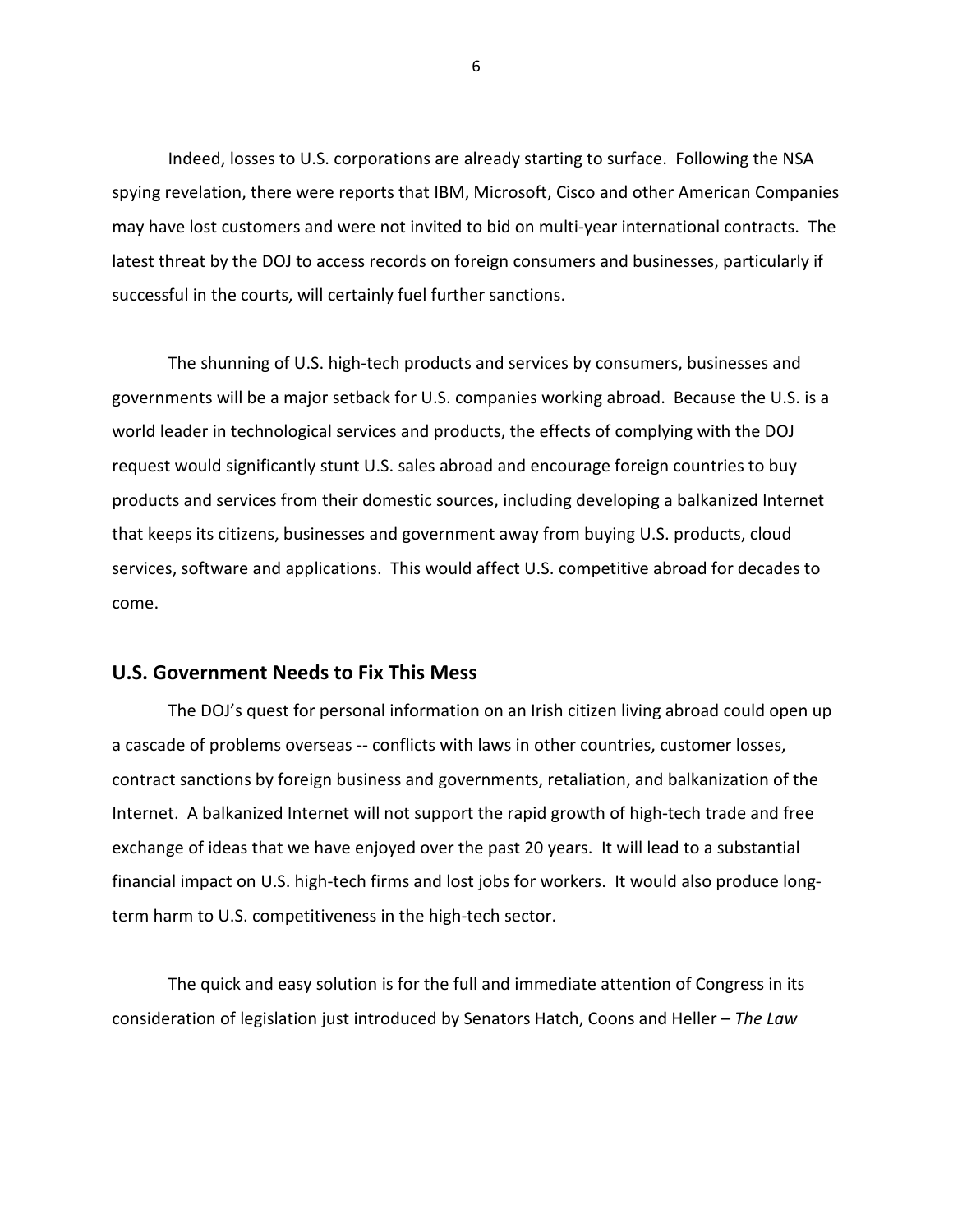Indeed, losses to U.S. corporations are already starting to surface. Following the NSA spying revelation, there were reports that IBM, Microsoft, Cisco and other American Companies may have lost customers and were not invited to bid on multi-year international contracts. The latest threat by the DOJ to access records on foreign consumers and businesses, particularly if successful in the courts, will certainly fuel further sanctions.

The shunning of U.S. high-tech products and services by consumers, businesses and governments will be a major setback for U.S. companies working abroad. Because the U.S. is a world leader in technological services and products, the effects of complying with the DOJ request would significantly stunt U.S. sales abroad and encourage foreign countries to buy products and services from their domestic sources, including developing a balkanized Internet that keeps its citizens, businesses and government away from buying U.S. products, cloud services, software and applications. This would affect U.S. competitive abroad for decades to come.

#### **U.S. Government Needs to Fix This Mess**

The DOJ's quest for personal information on an Irish citizen living abroad could open up a cascade of problems overseas -- conflicts with laws in other countries, customer losses, contract sanctions by foreign business and governments, retaliation, and balkanization of the Internet. A balkanized Internet will not support the rapid growth of high-tech trade and free exchange of ideas that we have enjoyed over the past 20 years. It will lead to a substantial financial impact on U.S. high-tech firms and lost jobs for workers. It would also produce longterm harm to U.S. competitiveness in the high-tech sector.

The quick and easy solution is for the full and immediate attention of Congress in its consideration of legislation just introduced by Senators Hatch, Coons and Heller – *The Law*